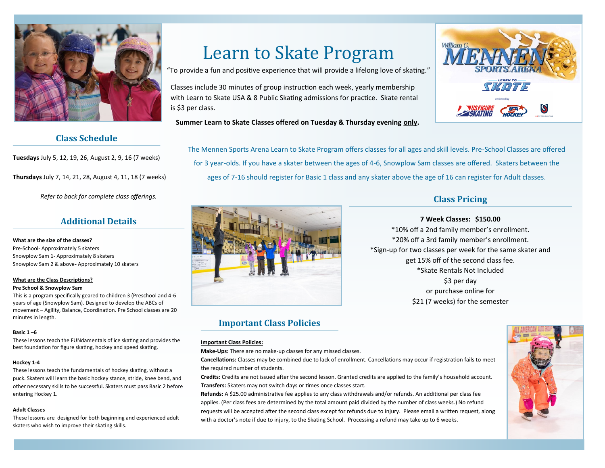

## **Class Schedule**

**Tuesdays** July 5, 12, 19, 26, August 2, 9, 16 (7 weeks)

**Thursdays** July 7, 14, 21, 28, August 4, 11, 18 (7 weeks)

*Refer to back for complete class offerings.* 

## **Additional Details**

**What are the size of the classes?** Pre-School- Approximately 5 skaters Snowplow Sam 1- Approximately 8 skaters Snowplow Sam 2 & above- Approximately 10 skaters

### **What are the Class Descriptions?**

#### **Pre School & Snowplow Sam**

This is a program specifically geared to children 3 (Preschool and 4-6 years of age (Snowplow Sam). Designed to develop the ABCs of movement – Agility, Balance, Coordination. Pre School classes are 20 minutes in length.

### **Basic 1 –6**

These lessons teach the FUNdamentals of ice skating and provides the best foundation for figure skating, hockey and speed skating.

### **Hockey 1-4**

These lessons teach the fundamentals of hockey skating, without a puck. Skaters will learn the basic hockey stance, stride, knee bend, and other necessary skills to be successful. Skaters must pass Basic 2 before entering Hockey 1.

### **Adult Classes**

These lessons are designed for both beginning and experienced adult skaters who wish to improve their skating skills.

# Learn to Skate Program

"To provide a fun and positive experience that will provide a lifelong love of skating."

Classes include 30 minutes of group instruction each week, yearly membership with Learn to Skate USA & 8 Public Skating admissions for practice. Skate rental is \$3 per class.



**Summer Learn to Skate Classes offered on Tuesday & Thursday evening only.** 

The Mennen Sports Arena Learn to Skate Program offers classes for all ages and skill levels. Pre-School Classes are offered for 3 year-olds. If you have a skater between the ages of 4-6, Snowplow Sam classes are offered. Skaters between the ages of 7-16 should register for Basic 1 class and any skater above the age of 16 can register for Adult classes.



# **Important Class Policies**

### **Important Class Policies:**

**Make-Ups:** There are no make-up classes for any missed classes.

**Cancellations:** Classes may be combined due to lack of enrollment. Cancellations may occur if registration fails to meet the required number of students.

**Credits:** Credits are not issued after the second lesson. Granted credits are applied to the family's household account. **Transfers:** Skaters may not switch days or times once classes start.

**Refunds:** A \$25.00 administrative fee applies to any class withdrawals and/or refunds. An additional per class fee applies. (Per class fees are determined by the total amount paid divided by the number of class weeks.) No refund requests will be accepted after the second class except for refunds due to injury. Please email a written request, along with a doctor's note if due to injury, to the Skating School. Processing a refund may take up to 6 weeks.

# **Class Pricing**

### **7 Week Classes: \$150.00**

\*10% off a 2nd family member's enrollment. \*20% off a 3rd family member's enrollment. \*Sign-up for two classes per week for the same skater and get 15% off of the second class fee. \*Skate Rentals Not Included \$3 per day or purchase online for \$21 (7 weeks) for the semester